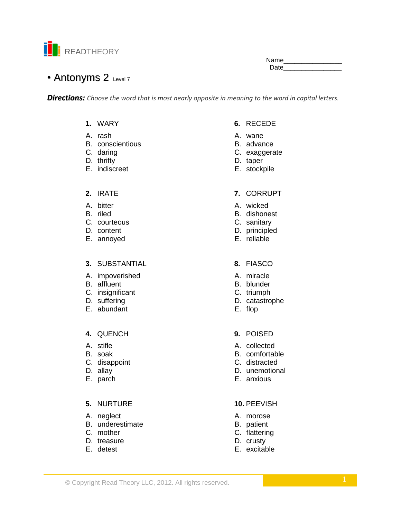

Name\_\_\_\_\_ Date

# • Antonyms 2 Level 7

*Directions: Choose the word that is most nearly opposite in meaning to the word in capital letters.*

- **1.** WARY
- A. rash
- B. conscientious
- C. daring
- D. thrifty
- E. indiscreet
- **2.** IRATE
- A. bitter
- B. riled
- C. courteous
- D. content
- E. annoyed

# **3.** SUBSTANTIAL

- A. impoverished
- B. affluent
- C. insignificant
- D. suffering
- E. abundant

# **4.** QUENCH

- A. stifle
- B. soak
- C. disappoint
- D. allay
- E. parch

### **5.** NURTURE

- A. neglect
- B. underestimate
- C. mother
- D. treasure
- E. detest
- **6.** RECEDE
- A. wane
- B. advance
- C. exaggerate
- D. taper
- E. stockpile

### **7.** CORRUPT

- A. wicked
- B. dishonest
- C. sanitary
- D. principled
- E. reliable
- **8.** FIASCO
- A. miracle
- B. blunder
- C. triumph
- D. catastrophe
- E. flop
- **9.** POISED
- A. collected
- B. comfortable
- C. distracted
- D. unemotional
- E. anxious

### **10.** PEEVISH

- A. morose
- B. patient
- C. flattering
- D. crusty
- E. excitable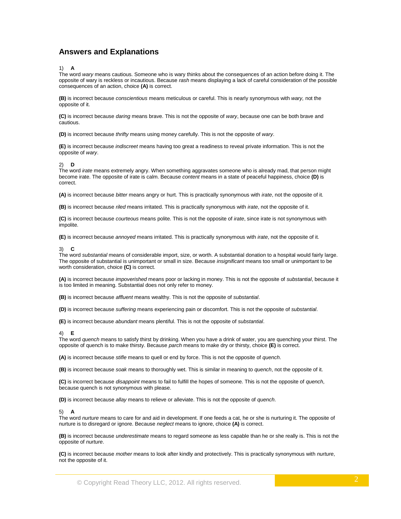# **Answers and Explanations**

#### 1) **A**

The word *wary* means cautious. Someone who is wary thinks about the consequences of an action before doing it. The opposite of wary is reckless or incautious. Because *rash* means displaying a lack of careful consideration of the possible consequences of an action, choice **(A)** is correct.

**(B)** is incorrect because *conscientious* means meticulous or careful. This is nearly synonymous with *wary,* not the opposite of it.

**(C)** is incorrect because *daring* means brave. This is not the opposite of *wary*, because one can be both brave and cautious.

**(D)** is incorrect because *thrifty* means using money carefully. This is not the opposite of *wary*.

**(E)** is incorrect because *indiscreet* means having too great a readiness to reveal private information. This is not the opposite of *wary*.

#### 2) **D**

The word *irate* means extremely angry. When something aggravates someone who is already mad, that person might become irate. The opposite of irate is calm. Because *content* means in a state of peaceful happiness, choice **(D)** is correct.

**(A)** is incorrect because *bitter* means angry or hurt. This is practically synonymous with *irate*, not the opposite of it.

**(B)** is incorrect because *riled* means irritated. This is practically synonymous with *irate*, not the opposite of it.

**(C)** is incorrect because *courteous* means polite. This is not the opposite of *irate*, since irate is not synonymous with impolite.

**(E)** is incorrect because *annoyed* means irritated. This is practically synonymous with *irate*, not the opposite of it.

#### 3) **C**

The word *substantial* means of considerable import, size, or worth. A substantial donation to a hospital would fairly large. The opposite of substantial is unimportant or small in size. Because *insignificant* means too small or unimportant to be worth consideration, choice **(C)** is correct.

**(A)** is incorrect because *impoverished* means poor or lacking in money. This is not the opposite of *substantial*, because it is too limited in meaning. Substantial does not only refer to money.

**(B)** is incorrect because *affluent* means wealthy. This is not the opposite of *substantial*.

**(D)** is incorrect because *suffering* means experiencing pain or discomfort. This is not the opposite of *substantial*.

**(E)** is incorrect because *abundant* means plentiful. This is not the opposite of *substantial*.

#### 4) **E**

The word *quench* means to satisfy thirst by drinking. When you have a drink of water, you are quenching your thirst. The opposite of quench is to make thirsty. Because *parch* means to make dry or thirsty, choice **(E)** is correct.

**(A)** is incorrect because *stifle* means to quell or end by force. This is not the opposite of *quench*.

**(B)** is incorrect because *soak* means to thoroughly wet. This is similar in meaning to *quench*, not the opposite of it.

**(C)** is incorrect because *disappoint* means to fail to fulfill the hopes of someone. This is not the opposite of *quench*, because quench is not synonymous with please.

**(D)** is incorrect because *allay* means to relieve or alleviate. This is not the opposite of *quench*.

#### 5) **A**

The word *nurture* means to care for and aid in development. If one feeds a cat, he or she is nurturing it. The opposite of nurture is to disregard or ignore. Because *neglect* means to ignore, choice **(A)** is correct.

**(B)** is incorrect because *underestimate* means to regard someone as less capable than he or she really is. This is not the opposite of *nurture*.

**(C)** is incorrect because *mother* means to look after kindly and protectively. This is practically synonymous with *nurture*, not the opposite of it.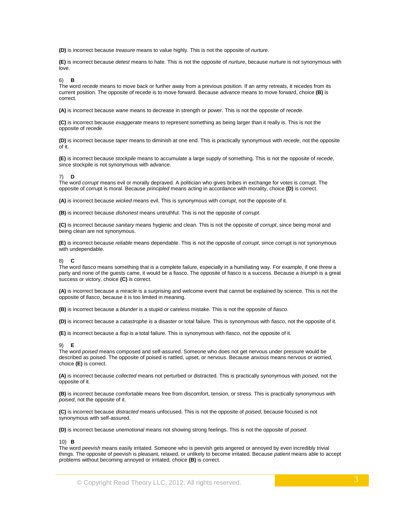**(D)** is incorrect because *treasure* means to value highly. This is not the opposite of *nurture*.

**(E)** is incorrect because *detest* means to hate. This is not the opposite of *nurture*, because nurture is not synonymous with love.

#### 6) **B**

The word *recede* means to move back or further away from a previous position. If an army retreats, it recedes from its current position. The opposite of recede is to move forward. Because *advance* means to move forward, choice **(B)** is correct.

**(A)** is incorrect because *wane* means to decrease in strength or power. This is not the opposite of *recede*.

**(C)** is incorrect because *exaggerate* means to represent something as being larger than it really is. This is not the opposite of *recede*.

**(D)** is incorrect because *taper* means to diminish at one end. This is practically synonymous with *recede*, not the opposite of it.

**(E)** is incorrect because *stockpile* means to accumulate a large supply of something. This is not the opposite of *recede*, since stockpile is not synonymous with advance.

#### 7) **D**

The word *corrupt* means evil or morally depraved. A politician who gives bribes in exchange for votes is corrupt. The opposite of corrupt is moral. Because *principled* means acting in accordance with morality, choice **(D)** is correct.

**(A)** is incorrect because *wicked* means evil. This is synonymous with *corrupt*, not the opposite of it.

**(B)** is incorrect because *dishonest* means untruthful. This is not the opposite of *corrupt*.

**(C)** is incorrect because *sanitary* means hygienic and clean. This is not the opposite of *corrupt*, since being moral and being clean are not synonymous.

**(E)** is incorrect because *reliable* means dependable. This is not the opposite of *corrupt*, since corrupt is not synonymous with undependable.

8) **C**

The word *fiasco* means something that is a complete failure, especially in a humiliating way. For example, if one threw a party and none of the guests came, it would be a fiasco. The opposite of fiasco is a success. Because a *triumph* is a great success or victory, choice **(C)** is correct.

**(A)** is incorrect because a *miracle* is a surprising and welcome event that cannot be explained by science. This is not the opposite of *fiasco*, because it is too limited in meaning.

**(B)** is incorrect because a *blunder* is a stupid or careless mistake. This is not the opposite of *fiasco*.

**(D)** is incorrect because a *catastrophe* is a disaster or total failure. This is synonymous with *fiasco*, not the opposite of it.

**(E)** is incorrect because a *flop* is a total failure. This is synonymous with *fiasco*, not the opposite of it.

#### 9) **E**

The word *poised* means composed and self-assured. Someone who does not get nervous under pressure would be described as poised. The opposite of poised is rattled, upset, or nervous. Because *anxious* means nervous or worried, choice **(E)** is correct.

**(A)** is incorrect because *collected* means not perturbed or distracted. This is practically synonymous with *poised*, not the opposite of it.

**(B)** is incorrect because *comfortable* means free from discomfort, tension, or stress. This is practically synonymous with *poised*, not the opposite of it.

**(C)** is incorrect because *distracted* means unfocused. This is not the opposite of *poised*, because focused is not synonymous with self-assured.

**(D)** is incorrect because *unemotional* means not showing strong feelings. This is not the opposite of *poised*.

#### 10) **B**

The word *peevish* means easily irritated. Someone who is peevish gets angered or annoyed by even incredibly trivial things. The opposite of peevish is pleasant, relaxed, or unlikely to become irritated. Because *patient* means able to accept problems without becoming annoyed or irritated, choice **(B)** is correct.